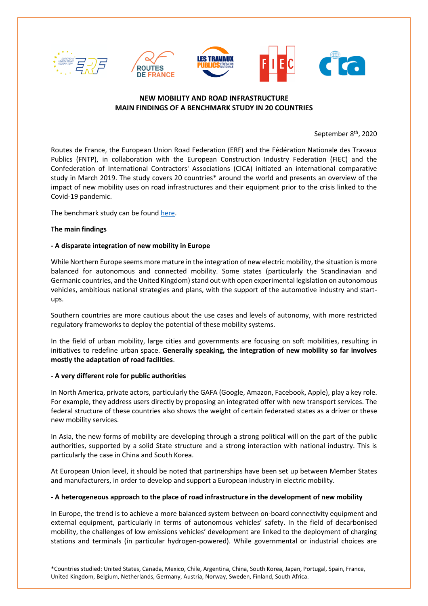

# **NEW MOBILITY AND ROAD INFRASTRUCTURE MAIN FINDINGS OF A BENCHMARK STUDY IN 20 COUNTRIES**

September 8<sup>th</sup>, 2020

Routes de France, the European Union Road Federation (ERF) and the Fédération Nationale des Travaux Publics (FNTP), in collaboration with the European Construction Industry Federation (FIEC) and the Confederation of International Contractors' Associations (CICA) initiated an international comparative study in March 2019. The study covers 20 countries\* around the world and presents an overview of the impact of new mobility uses on road infrastructures and their equipment prior to the crisis linked to the Covid-19 pandemic.

The benchmark study can be foun[d here.](http://gofile.me/4Ipz9/80DidGq2J)

## **The main findings**

## **- A disparate integration of new mobility in Europe**

While Northern Europe seems more mature in the integration of new electric mobility, the situation is more balanced for autonomous and connected mobility. Some states (particularly the Scandinavian and Germanic countries, and the United Kingdom) stand out with open experimental legislation on autonomous vehicles, ambitious national strategies and plans, with the support of the automotive industry and startups.

Southern countries are more cautious about the use cases and levels of autonomy, with more restricted regulatory frameworks to deploy the potential of these mobility systems.

In the field of urban mobility, large cities and governments are focusing on soft mobilities, resulting in initiatives to redefine urban space. **Generally speaking, the integration of new mobility so far involves mostly the adaptation of road facilities**.

## **- A very different role for public authorities**

In North America, private actors, particularly the GAFA (Google, Amazon, Facebook, Apple), play a key role. For example, they address users directly by proposing an integrated offer with new transport services. The federal structure of these countries also shows the weight of certain federated states as a driver or these new mobility services.

In Asia, the new forms of mobility are developing through a strong political will on the part of the public authorities, supported by a solid State structure and a strong interaction with national industry. This is particularly the case in China and South Korea.

At European Union level, it should be noted that partnerships have been set up between Member States and manufacturers, in order to develop and support a European industry in electric mobility.

## **- A heterogeneous approach to the place of road infrastructure in the development of new mobility**

In Europe, the trend is to achieve a more balanced system between on-board connectivity equipment and external equipment, particularly in terms of autonomous vehicles' safety. In the field of decarbonised mobility, the challenges of low emissions vehicles' development are linked to the deployment of charging stations and terminals (in particular hydrogen-powered). While governmental or industrial choices are